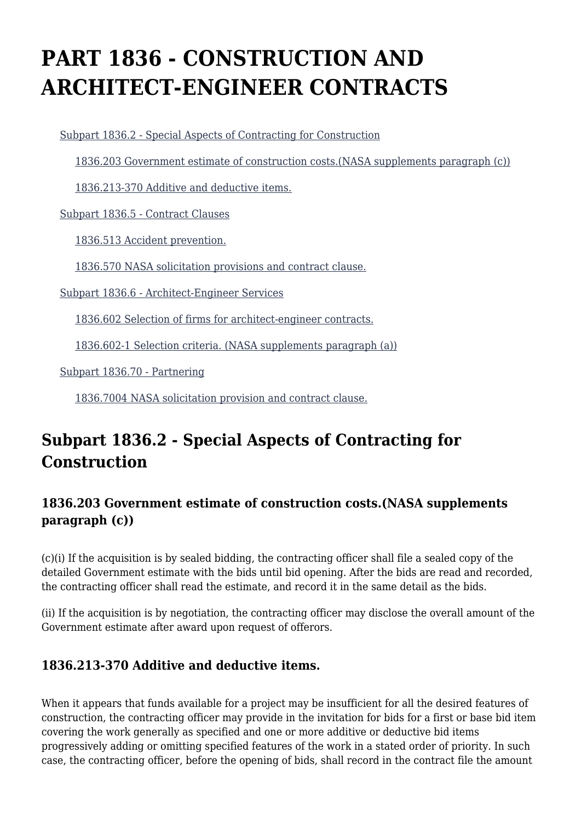# **PART 1836 - CONSTRUCTION AND ARCHITECT-ENGINEER CONTRACTS**

[Subpart 1836.2 - Special Aspects of Contracting for Construction](https://login.acquisition.gov/%5Brp:link:nfs-part-1836%5D#Subpart_1836_2_T48_60421301)

[1836.203 Government estimate of construction costs.\(NASA supplements paragraph \(c\)\)](https://login.acquisition.gov/%5Brp:link:nfs-part-1836%5D#Section_1836_203_T48_6042130111)

[1836.213-370 Additive and deductive items.](https://login.acquisition.gov/%5Brp:link:nfs-part-1836%5D#Section_1836_213_370_T48_6042130112)

[Subpart 1836.5 - Contract Clauses](https://login.acquisition.gov/%5Brp:link:nfs-part-1836%5D#Subpart_1836_5_T48_60421302)

[1836.513 Accident prevention.](https://login.acquisition.gov/%5Brp:link:nfs-part-1836%5D#Section_1836_513_T48_6042130211)

[1836.570 NASA solicitation provisions and contract clause.](https://login.acquisition.gov/%5Brp:link:nfs-part-1836%5D#Section_1836_570_T48_6042130212)

[Subpart 1836.6 - Architect-Engineer Services](https://login.acquisition.gov/%5Brp:link:nfs-part-1836%5D#Subpart_1836_6_T48_60421303)

[1836.602 Selection of firms for architect-engineer contracts.](https://login.acquisition.gov/%5Brp:link:nfs-part-1836%5D#Section_1836_602_T48_6042130311)

[1836.602-1 Selection criteria. \(NASA supplements paragraph \(a\)\)](https://login.acquisition.gov/%5Brp:link:nfs-part-1836%5D#Section_1836_602_1_T48_6042130312)

[Subpart 1836.70 - Partnering](https://login.acquisition.gov/%5Brp:link:nfs-part-1836%5D#Subpart_1836_70_T48_60421304)

[1836.7004 NASA solicitation provision and contract clause.](https://login.acquisition.gov/%5Brp:link:nfs-part-1836%5D#Section_1836_7004_T48_6042130411)

# **Subpart 1836.2 - Special Aspects of Contracting for Construction**

#### **1836.203 Government estimate of construction costs.(NASA supplements paragraph (c))**

(c)(i) If the acquisition is by sealed bidding, the contracting officer shall file a sealed copy of the detailed Government estimate with the bids until bid opening. After the bids are read and recorded, the contracting officer shall read the estimate, and record it in the same detail as the bids.

(ii) If the acquisition is by negotiation, the contracting officer may disclose the overall amount of the Government estimate after award upon request of offerors.

#### **1836.213-370 Additive and deductive items.**

When it appears that funds available for a project may be insufficient for all the desired features of construction, the contracting officer may provide in the invitation for bids for a first or base bid item covering the work generally as specified and one or more additive or deductive bid items progressively adding or omitting specified features of the work in a stated order of priority. In such case, the contracting officer, before the opening of bids, shall record in the contract file the amount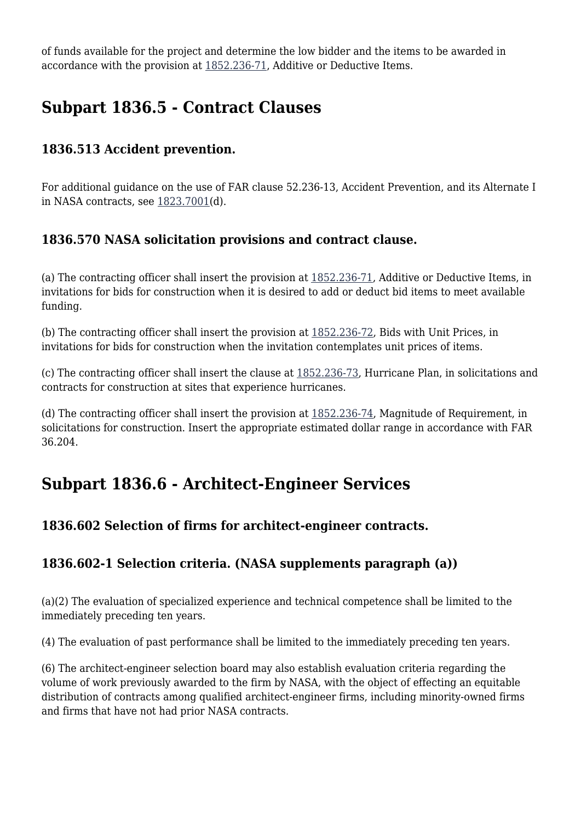of funds available for the project and determine the low bidder and the items to be awarded in accordance with the provision at [1852.236-71](https://login.acquisition.gov/%5Brp:link:nfs-part-1852%5D#Section_1852_236_71_T48_60423441199), Additive or Deductive Items.

# **Subpart 1836.5 - Contract Clauses**

#### **1836.513 Accident prevention.**

For additional guidance on the use of FAR clause 52.236-13, Accident Prevention, and its Alternate I in NASA contracts, see [1823.7001\(](https://login.acquisition.gov/%5Brp:link:nfs-part-1823%5D#Section_1823_7001_T48_6041919311)d).

#### **1836.570 NASA solicitation provisions and contract clause.**

(a) The contracting officer shall insert the provision at [1852.236-71](https://login.acquisition.gov/%5Brp:link:nfs-part-1852%5D#Section_1852_236_71_T48_60423441199), Additive or Deductive Items, in invitations for bids for construction when it is desired to add or deduct bid items to meet available funding.

(b) The contracting officer shall insert the provision at [1852.236-72,](https://login.acquisition.gov/%5Brp:link:nfs-part-1852%5D#Section_1852_236_72_T48_604234411100) Bids with Unit Prices, in invitations for bids for construction when the invitation contemplates unit prices of items.

(c) The contracting officer shall insert the clause at [1852.236-73](https://login.acquisition.gov/%5Brp:link:nfs-part-1852%5D#Section_1852_236_73_T48_604234411101), Hurricane Plan, in solicitations and contracts for construction at sites that experience hurricanes.

(d) The contracting officer shall insert the provision at [1852.236-74,](https://login.acquisition.gov/%5Brp:link:nfs-part-1852%5D#Section_1852_236_74_T48_604234411102) Magnitude of Requirement, in solicitations for construction. Insert the appropriate estimated dollar range in accordance with FAR 36.204.

### **Subpart 1836.6 - Architect-Engineer Services**

#### **1836.602 Selection of firms for architect-engineer contracts.**

#### **1836.602-1 Selection criteria. (NASA supplements paragraph (a))**

(a)(2) The evaluation of specialized experience and technical competence shall be limited to the immediately preceding ten years.

(4) The evaluation of past performance shall be limited to the immediately preceding ten years.

(6) The architect-engineer selection board may also establish evaluation criteria regarding the volume of work previously awarded to the firm by NASA, with the object of effecting an equitable distribution of contracts among qualified architect-engineer firms, including minority-owned firms and firms that have not had prior NASA contracts.